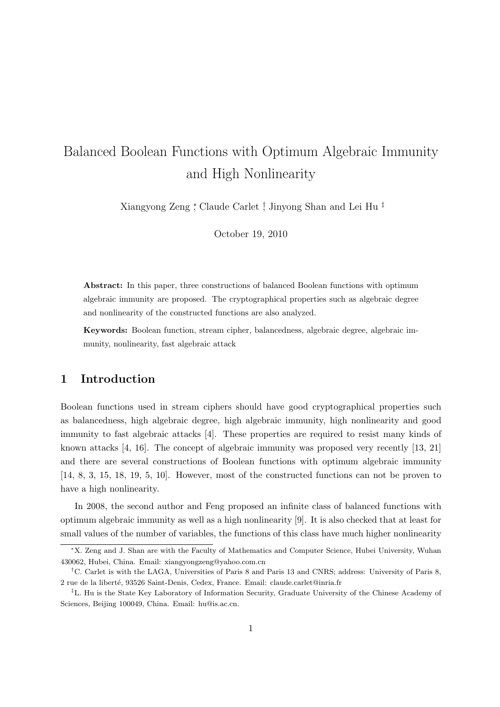# Balanced Boolean Functions with Optimum Algebraic Immunity and High Nonlinearity

Xiangyong Zeng *<sup>∗</sup>* , Claude Carlet *†* , Jinyong Shan and Lei Hu *‡*

October 19, 2010

**Abstract:** In this paper, three constructions of balanced Boolean functions with optimum algebraic immunity are proposed. The cryptographical properties such as algebraic degree and nonlinearity of the constructed functions are also analyzed.

**Keywords:** Boolean function, stream cipher, balancedness, algebraic degree, algebraic immunity, nonlinearity, fast algebraic attack

## **1 Introduction**

Boolean functions used in stream ciphers should have good cryptographical properties such as balancedness, high algebraic degree, high algebraic immunity, high nonlinearity and good immunity to fast algebraic attacks [4]. These properties are required to resist many kinds of known attacks [4, 16]. The concept of algebraic immunity was proposed very recently [13, 21] and there are several constructions of Boolean functions with optimum algebraic immunity [14, 8, 3, 15, 18, 19, 5, 10]. However, most of the constructed functions can not be proven to have a high nonlinearity.

In 2008, the second author and Feng proposed an infinite class of balanced functions with optimum algebraic immunity as well as a high nonlinearity [9]. It is also checked that at least for small values of the number of variables, the functions of this class have much higher nonlinearity

*<sup>∗</sup>*X. Zeng and J. Shan are with the Faculty of Mathematics and Computer Science, Hubei University, Wuhan 430062, Hubei, China. Email: xiangyongzeng@yahoo.com.cn

*<sup>†</sup>*C. Carlet is with the LAGA, Universities of Paris 8 and Paris 13 and CNRS; address: University of Paris 8, 2 rue de la libert´e, 93526 Saint-Denis, Cedex, France. Email: claude.carlet@inria.fr

*<sup>‡</sup>*L. Hu is the State Key Laboratory of Information Security, Graduate University of the Chinese Academy of Sciences, Beijing 100049, China. Email: hu@is.ac.cn.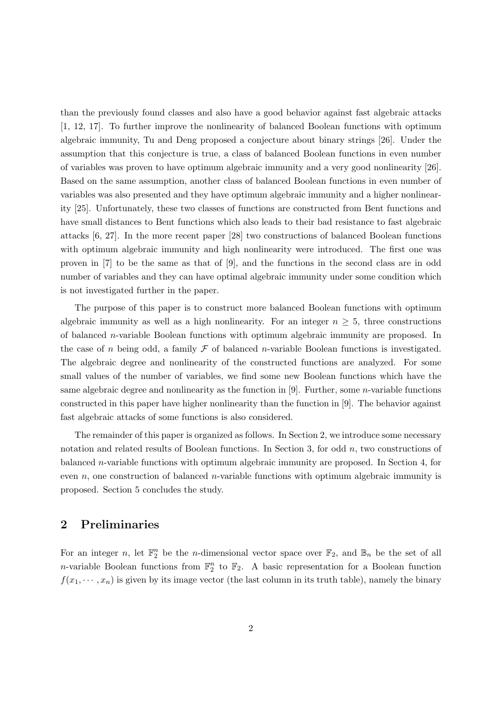than the previously found classes and also have a good behavior against fast algebraic attacks [1, 12, 17]. To further improve the nonlinearity of balanced Boolean functions with optimum algebraic immunity, Tu and Deng proposed a conjecture about binary strings [26]. Under the assumption that this conjecture is true, a class of balanced Boolean functions in even number of variables was proven to have optimum algebraic immunity and a very good nonlinearity [26]. Based on the same assumption, another class of balanced Boolean functions in even number of variables was also presented and they have optimum algebraic immunity and a higher nonlinearity [25]. Unfortunately, these two classes of functions are constructed from Bent functions and have small distances to Bent functions which also leads to their bad resistance to fast algebraic attacks [6, 27]. In the more recent paper [28] two constructions of balanced Boolean functions with optimum algebraic immunity and high nonlinearity were introduced. The first one was proven in [7] to be the same as that of [9], and the functions in the second class are in odd number of variables and they can have optimal algebraic immunity under some condition which is not investigated further in the paper.

The purpose of this paper is to construct more balanced Boolean functions with optimum algebraic immunity as well as a high nonlinearity. For an integer  $n \geq 5$ , three constructions of balanced *n*-variable Boolean functions with optimum algebraic immunity are proposed. In the case of *n* being odd, a family  $\mathcal F$  of balanced *n*-variable Boolean functions is investigated. The algebraic degree and nonlinearity of the constructed functions are analyzed. For some small values of the number of variables, we find some new Boolean functions which have the same algebraic degree and nonlinearity as the function in [9]. Further, some *n*-variable functions constructed in this paper have higher nonlinearity than the function in [9]. The behavior against fast algebraic attacks of some functions is also considered.

The remainder of this paper is organized as follows. In Section 2, we introduce some necessary notation and related results of Boolean functions. In Section 3, for odd *n*, two constructions of balanced *n*-variable functions with optimum algebraic immunity are proposed. In Section 4, for even *n*, one construction of balanced *n*-variable functions with optimum algebraic immunity is proposed. Section 5 concludes the study.

## **2 Preliminaries**

For an integer *n*, let  $\mathbb{F}_2^n$  be the *n*-dimensional vector space over  $\mathbb{F}_2$ , and  $\mathbb{B}_n$  be the set of all *n*-variable Boolean functions from  $\mathbb{F}_2^n$  to  $\mathbb{F}_2$ . A basic representation for a Boolean function  $f(x_1, \dots, x_n)$  is given by its image vector (the last column in its truth table), namely the binary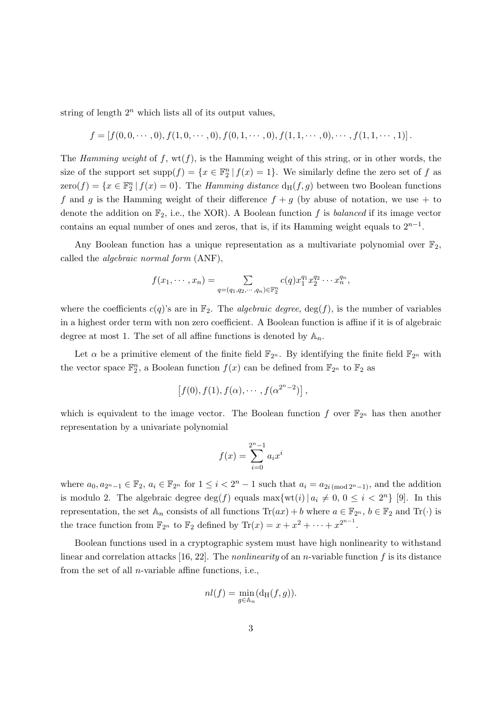string of length  $2^n$  which lists all of its output values,

$$
f = [f(0,0,\dots,0), f(1,0,\dots,0), f(0,1,\dots,0), f(1,1,\dots,0),\dots, f(1,1,\dots,1)].
$$

The *Hamming weight* of  $f$ ,  $wt(f)$ , is the Hamming weight of this string, or in other words, the size of the support set  $\text{supp}(f) = \{x \in \mathbb{F}_2^n \mid f(x) = 1\}$ . We similarly define the zero set of *f* as  $\text{zero}(f) = \{x \in \mathbb{F}_2^n \mid f(x) = 0\}.$  The *Hamming distance*  $d_H(f, g)$  between two Boolean functions f and g is the Hamming weight of their difference  $f + g$  (by abuse of notation, we use  $+$  to denote the addition on  $\mathbb{F}_2$ , i.e., the XOR). A Boolean function f is *balanced* if its image vector contains an equal number of ones and zeros, that is, if its Hamming weight equals to 2*n−*<sup>1</sup> .

Any Boolean function has a unique representation as a multivariate polynomial over  $\mathbb{F}_2$ , called the *algebraic normal form* (ANF),

$$
f(x_1, \dots, x_n) = \sum_{q=(q_1, q_2, \dots, q_n) \in \mathbb{F}_2^n} c(q) x_1^{q_1} x_2^{q_2} \dots x_n^{q_n},
$$

where the coefficients  $c(q)$ 's are in  $\mathbb{F}_2$ . The *algebraic degree*,  $deg(f)$ , is the number of variables in a highest order term with non zero coefficient. A Boolean function is affine if it is of algebraic degree at most 1. The set of all affine functions is denoted by  $A_n$ .

Let  $\alpha$  be a primitive element of the finite field  $\mathbb{F}_{2^n}$ . By identifying the finite field  $\mathbb{F}_{2^n}$  with the vector space  $\mathbb{F}_2^n$ , a Boolean function  $f(x)$  can be defined from  $\mathbb{F}_{2^n}$  to  $\mathbb{F}_2$  as

$$
[f(0), f(1), f(\alpha), \cdots, f(\alpha^{2^{n}-2})],
$$

which is equivalent to the image vector. The Boolean function  $f$  over  $\mathbb{F}_{2^n}$  has then another representation by a univariate polynomial

$$
f(x) = \sum_{i=0}^{2^{n}-1} a_{i}x^{i}
$$

where  $a_0, a_{2^n-1} \in \mathbb{F}_2$ ,  $a_i \in \mathbb{F}_{2^n}$  for  $1 \leq i < 2^n - 1$  such that  $a_i = a_{2i \pmod{2^n-1}}$ , and the addition is modulo 2. The algebraic degree  $\deg(f)$  equals  $\max\{\text{wt}(i) | a_i \neq 0, 0 \leq i < 2^n\}$  [9]. In this representation, the set  $\mathbb{A}_n$  consists of all functions  $\text{Tr}(ax) + b$  where  $a \in \mathbb{F}_{2^n}$ ,  $b \in \mathbb{F}_2$  and  $\text{Tr}(\cdot)$  is the trace function from  $\mathbb{F}_{2^n}$  to  $\mathbb{F}_2$  defined by  $\text{Tr}(x) = x + x^2 + \cdots + x^{2^{n-1}}$ .

Boolean functions used in a cryptographic system must have high nonlinearity to withstand linear and correlation attacks [16, 22]. The *nonlinearity* of an *n*-variable function *f* is its distance from the set of all *n*-variable affine functions, i.e.,

$$
nl(f) = \min_{g \in \mathbb{A}_n} (\mathrm{d_H}(f, g)).
$$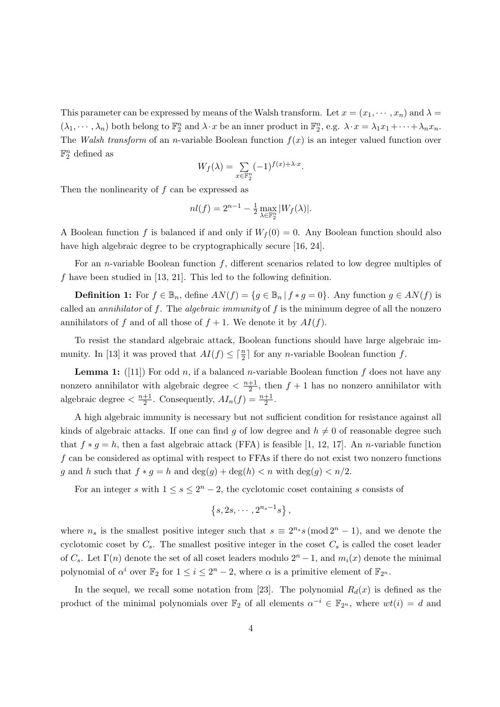This parameter can be expressed by means of the Walsh transform. Let  $x = (x_1, \dots, x_n)$  and  $\lambda =$  $(\lambda_1, \dots, \lambda_n)$  both belong to  $\mathbb{F}_2^n$  and  $\lambda \cdot x$  be an inner product in  $\mathbb{F}_2^n$ , e.g.  $\lambda \cdot x = \lambda_1 x_1 + \dots + \lambda_n x_n$ . The *Walsh transform* of an *n*-variable Boolean function  $f(x)$  is an integer valued function over  $\mathbb{F}_2^n$  defined as

$$
W_f(\lambda) = \sum_{x \in \mathbb{F}_2^n} (-1)^{f(x) + \lambda \cdot x}.
$$

Then the nonlinearity of *f* can be expressed as

$$
nl(f) = 2^{n-1} - \frac{1}{2} \max_{\lambda \in \mathbb{F}_2^n} |W_f(\lambda)|.
$$

A Boolean function f is balanced if and only if  $W_f(0) = 0$ . Any Boolean function should also have high algebraic degree to be cryptographically secure [16, 24].

For an *n*-variable Boolean function *f*, different scenarios related to low degree multiples of *f* have been studied in [13, 21]. This led to the following definition.

**Definition 1:** For  $f \in \mathbb{B}_n$ , define  $AN(f) = \{g \in \mathbb{B}_n | f * g = 0\}$ . Any function  $g \in AN(f)$  is called an *annihilator* of *f*. The *algebraic immunity* of *f* is the minimum degree of all the nonzero annihilators of *f* and of all those of  $f + 1$ . We denote it by  $AI(f)$ .

To resist the standard algebraic attack, Boolean functions should have large algebraic immunity. In [13] it was proved that  $AI(f) \leq \lceil \frac{n}{2} \rceil$  for any *n*-variable Boolean function *f*.

**Lemma 1:** ([11]) For odd *n*, if a balanced *n*-variable Boolean function  $f$  does not have any nonzero annihilator with algebraic degree  $\langle \frac{n+1}{2} \rangle$  $\frac{+1}{2}$ , then  $f + 1$  has no nonzero annihilator with algebraic degree  $\frac{n+1}{2}$  $\frac{+1}{2}$ . Consequently,  $AI_n(f) = \frac{n+1}{2}$ .

A high algebraic immunity is necessary but not sufficient condition for resistance against all kinds of algebraic attacks. If one can find *g* of low degree and  $h \neq 0$  of reasonable degree such that  $f * g = h$ , then a fast algebraic attack (FFA) is feasible [1, 12, 17]. An *n*-variable function *f* can be considered as optimal with respect to FFAs if there do not exist two nonzero functions *g* and *h* such that  $f * g = h$  and  $deg(g) + deg(h) < n$  with  $deg(g) < n/2$ .

For an integer *s* with  $1 \leq s \leq 2^n - 2$ , the cyclotomic coset containing *s* consists of

$$
\{s, 2s, \cdots, 2^{n_s-1}s\},\
$$

where  $n_s$  is the smallest positive integer such that  $s \equiv 2^{n_s} s \pmod{2^n - 1}$ , and we denote the cyclotomic coset by  $C_s$ . The smallest positive integer in the coset  $C_s$  is called the coset leader of  $C_s$ . Let  $\Gamma(n)$  denote the set of all coset leaders modulo  $2^n - 1$ , and  $m_i(x)$  denote the minimal polynomial of  $\alpha^i$  over  $\mathbb{F}_2$  for  $1 \leq i \leq 2^n - 2$ , where  $\alpha$  is a primitive element of  $\mathbb{F}_{2^n}$ .

In the sequel, we recall some notation from [23]. The polynomial  $R_d(x)$  is defined as the product of the minimal polynomials over  $\mathbb{F}_2$  of all elements  $\alpha^{-i} \in \mathbb{F}_{2^n}$ , where  $wt(i) = d$  and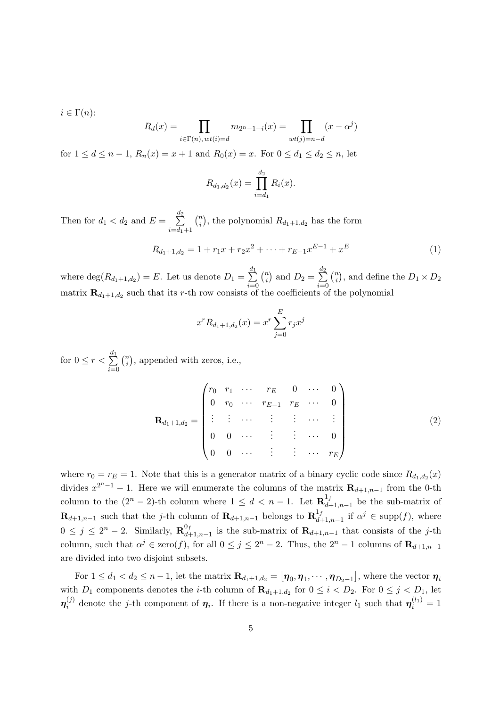$i \in \Gamma(n)$ :

$$
R_d(x) = \prod_{i \in \Gamma(n), wt(i) = d} m_{2^n - 1 - i}(x) = \prod_{wt(j) = n - d} (x - \alpha^j)
$$

for  $1 \le d \le n-1$ ,  $R_n(x) = x+1$  and  $R_0(x) = x$ . For  $0 \le d_1 \le d_2 \le n$ , let

$$
R_{d_1,d_2}(x) = \prod_{i=d_1}^{d_2} R_i(x).
$$

Then for  $d_1 < d_2$  and  $E = \sum$  $d_2$ *i*=*d*1+1  $\binom{n}{i}$  $n_i$ <sup>n</sup>), the polynomial  $R_{d_1+1,d_2}$  has the form

$$
R_{d_1+1,d_2} = 1 + r_1 x + r_2 x^2 + \dots + r_{E-1} x^{E-1} + x^E
$$
\n(1)

where  $\deg(R_{d_1+1,d_2}) = E$ . Let us denote  $D_1 = \sum$ *d*1 *i*=0  $\binom{n}{i}$  $\binom{n}{i}$  and  $D_2 = \sum_{i=2}^n$ *d*2 *i*=0  $\binom{n}{i}$  $\binom{n}{i}$ , and define the  $D_1 \times D_2$ matrix  $\mathbf{R}_{d_1+1,d_2}$  such that its *r*-th row consists of the coefficients of the polynomial

$$
x^{r} R_{d_1+1,d_2}(x) = x^{r} \sum_{j=0}^{E} r_j x^{j}
$$

for  $0 \leq r < \sum$ *d*1 *i*=0 ( *n*  $\binom{n}{i}$ , appended with zeros, i.e.,

$$
\mathbf{R}_{d_1+1,d_2} = \begin{pmatrix} r_0 & r_1 & \cdots & r_E & 0 & \cdots & 0 \\ 0 & r_0 & \cdots & r_{E-1} & r_E & \cdots & 0 \\ \vdots & \vdots & \cdots & \vdots & \vdots & \cdots & \vdots \\ 0 & 0 & \cdots & \vdots & \vdots & \cdots & 0 \\ 0 & 0 & \cdots & \vdots & \vdots & \cdots & r_E \end{pmatrix}
$$
(2)

where  $r_0 = r_E = 1$ . Note that this is a generator matrix of a binary cyclic code since  $R_{d_1, d_2}(x)$ divides  $x^{2^{n}-1} - 1$ . Here we will enumerate the columns of the matrix  $\mathbf{R}_{d+1,n-1}$  from the 0-th column to the  $(2^n - 2)$ -th column where  $1 \leq d < n - 1$ . Let  $\mathbb{R}^{1}_{d}$  $\frac{d}{dt}$ <sup>1</sup>,<sup>*n*</sup><sub>−1</sub>,*n*<sup>−1</sup></sub> be the sub-matrix of **R***d*+1*,n*−1 such that the *j*-th column of **R**<sub>*d*+1*,n*−1</sub> belongs to **R**<sup><sup>1</sup><sub>*d*</sub></sup>  $\alpha^{j}$ <sub>*d*+1,*n*−1</sub> if  $\alpha^{j}$  ∈ supp(*f*), where  $0 \leq j \leq 2^n - 2$ . Similarly,  $\mathbf{R}_{d+1}^{0}$ *d*+1*,n−*1 is the sub-matrix of **R***d*+1*,n−*<sup>1</sup> that consists of the *j*-th column, such that  $\alpha^{j} \in \text{zero}(f)$ , for all  $0 \leq j \leq 2^{n} - 2$ . Thus, the  $2^{n} - 1$  columns of  $\mathbf{R}_{d+1,n-1}$ are divided into two disjoint subsets.

For  $1 \leq d_1 < d_2 \leq n-1$ , let the matrix  $\mathbf{R}_{d_1+1,d_2} = [\boldsymbol{\eta}_0, \boldsymbol{\eta}_1, \cdots, \boldsymbol{\eta}_{D_2-1}]$ , where the vector  $\boldsymbol{\eta}_i$ with  $D_1$  components denotes the *i*-th column of  $\mathbf{R}_{d_1+1,d_2}$  for  $0 \leq i \leq D_2$ . For  $0 \leq j \leq D_1$ , let  $\boldsymbol{\eta}^{\left(j\right)}_{i}$  $\eta_i^{(j)}$  denote the *j*-th component of  $\eta_i$ . If there is a non-negative integer  $l_1$  such that  $\eta_i^{(l_1)} = 1$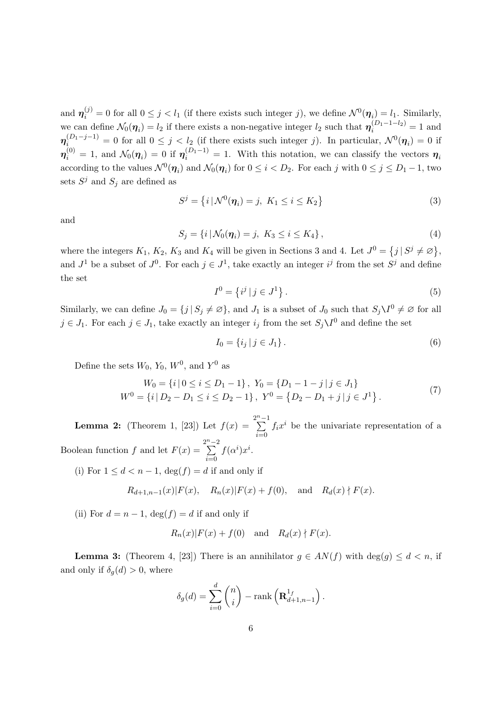and  $\eta_i^{(j)} = 0$  for all  $0 \le j < l_1$  (if there exists such integer *j*), we define  $\mathcal{N}^0(\eta_i) = l_1$ . Similarly, we can define  $\mathcal{N}_0(\eta_i) = l_2$  if there exists a non-negative integer  $l_2$  such that  $\eta_i^{(D_1-1-l_2)} = 1$  and  $\eta_i^{(D_1-j-1)} = 0$  for all  $0 \le j < l_2$  (if there exists such integer *j*). In particular,  $\mathcal{N}^0(\eta_i) = 0$  if  $\eta_i^{(0)} = 1$ , and  $\mathcal{N}_0(\eta_i) = 0$  if  $\eta_i^{(D_1-1)} = 1$ . With this notation, we can classify the vectors  $\eta_i$ according to the values  $\mathcal{N}^0(\eta_i)$  and  $\mathcal{N}_0(\eta_i)$  for  $0 \leq i < D_2$ . For each *j* with  $0 \leq j \leq D_1 - 1$ , two sets  $S^j$  and  $S_j$  are defined as

$$
S^{j} = \{i | \mathcal{N}^{0}(\eta_{i}) = j, K_{1} \leq i \leq K_{2} \}
$$
 (3)

and

$$
S_j = \{i \, | \, \mathcal{N}_0(\eta_i) = j, \ K_3 \le i \le K_4 \},\tag{4}
$$

where the integers  $K_1$ ,  $K_2$ ,  $K_3$  and  $K_4$  will be given in Sections 3 and 4. Let  $J^0 = \{j | S^j \neq \emptyset\}$ , and  $J^1$  be a subset of  $J^0$ . For each  $j \in J^1$ , take exactly an integer  $i^j$  from the set  $S^j$  and define the set

$$
I^0 = \left\{ i^j \mid j \in J^1 \right\} . \tag{5}
$$

Similarly, we can define  $J_0 = \{j \mid S_j \neq \emptyset\}$ , and  $J_1$  is a subset of  $J_0$  such that  $S_j \setminus I^0 \neq \emptyset$  for all *j* ∈ *J*<sub>1</sub>. For each *j* ∈ *J*<sub>1</sub>, take exactly an integer *i<sub>j</sub>* from the set  $S_j \setminus I^0$  and define the set

$$
I_0 = \{i_j \mid j \in J_1\}.
$$
\n(6)

Define the sets  $W_0$ ,  $Y_0$ ,  $W^0$ , and  $Y^0$  as

$$
W_0 = \{i \mid 0 \le i \le D_1 - 1\}, Y_0 = \{D_1 - 1 - j \mid j \in J_1\}
$$
  
\n
$$
W^0 = \{i \mid D_2 - D_1 \le i \le D_2 - 1\}, Y^0 = \{D_2 - D_1 + j \mid j \in J^1\}.
$$
\n(7)

**Lemma 2:** (Theorem 1, [23]) Let  $f(x) =$ 2 *n*∑*−*1 *i*=0  $f_i x^i$  be the univariate representation of a Boolean function  $f$  and let  $F(x) =$ 2 *n*∑*−*2 *i*=0  $f(\alpha^i)x^i$ .

(i) For  $1 \leq d < n-1$ ,  $\deg(f) = d$  if and only if

$$
R_{d+1,n-1}(x)|F(x), R_n(x)|F(x) + f(0)
$$
, and  $R_d(x) \nmid F(x)$ .

(ii) For  $d = n - 1$ ,  $\deg(f) = d$  if and only if

$$
R_n(x)|F(x) + f(0)
$$
 and  $R_d(x) \nmid F(x)$ .

**Lemma 3:** (Theorem 4, [23]) There is an annihilator  $g \in AN(f)$  with deg(*g*)  $\leq d < n$ , if and only if  $\delta_q(d) > 0$ , where

$$
\delta_g(d) = \sum_{i=0}^d \binom{n}{i} - \text{rank}\left(\mathbf{R}^{1_f}_{d+1,n-1}\right).
$$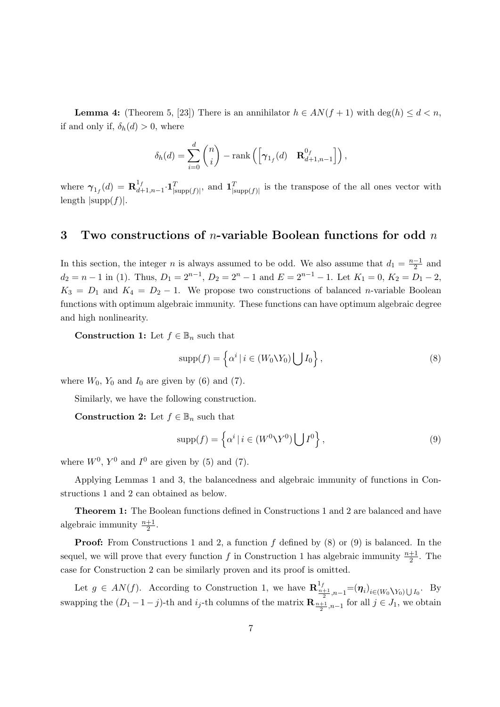**Lemma 4:** (Theorem 5, [23]) There is an annihilator  $h \in AN(f + 1)$  with deg( $h \leq d < n$ , if and only if,  $\delta_h(d) > 0$ , where

$$
\delta_h(d) = \sum_{i=0}^d \binom{n}{i} - \text{rank}\left(\begin{bmatrix} \gamma_{1_f}(d) & \mathbf{R}^{0_f}_{d+1,n-1} \end{bmatrix}\right),
$$

where  $\gamma_{1_f}(d) = \mathbf{R}_{d+1}^{1_f}$  $\frac{1}{d+1,n-1}$  **·1**<sup>*T*</sup><sub>|supp</sub>(*f*)|**·** and **1**<sup>*T*</sup><sub>|supp</sub>(*f*)| is the transpose of the all ones vector with  $\text{length}$   $|\text{supp}(f)|$ .

# **3 Two constructions of** *n***-variable Boolean functions for odd** *n*

In this section, the integer *n* is always assumed to be odd. We also assume that  $d_1 = \frac{n-1}{2}$  and  $d_2 = n - 1$  in (1). Thus,  $D_1 = 2^{n-1}$ ,  $D_2 = 2^n - 1$  and  $E = 2^{n-1} - 1$ . Let  $K_1 = 0$ ,  $K_2 = D_1 - 2$ ,  $K_3 = D_1$  and  $K_4 = D_2 - 1$ . We propose two constructions of balanced *n*-variable Boolean functions with optimum algebraic immunity. These functions can have optimum algebraic degree and high nonlinearity.

**Construction 1:** Let  $f \in \mathbb{B}_n$  such that

$$
supp(f) = \left\{ \alpha^i \mid i \in (W_0 \backslash Y_0) \bigcup I_0 \right\},\tag{8}
$$

where  $W_0$ ,  $Y_0$  and  $I_0$  are given by (6) and (7).

Similarly, we have the following construction.

**Construction 2:** Let  $f \in \mathbb{B}_n$  such that

$$
supp(f) = \left\{ \alpha^i \mid i \in (W^0 \backslash Y^0) \bigcup I^0 \right\},\tag{9}
$$

where  $W^0$ ,  $Y^0$  and  $I^0$  are given by (5) and (7).

Applying Lemmas 1 and 3, the balancedness and algebraic immunity of functions in Constructions 1 and 2 can obtained as below.

**Theorem 1:** The Boolean functions defined in Constructions 1 and 2 are balanced and have algebraic immunity  $\frac{n+1}{2}$ .

**Proof:** From Constructions 1 and 2, a function f defined by  $(8)$  or  $(9)$  is balanced. In the sequel, we will prove that every function  $f$  in Construction 1 has algebraic immunity  $\frac{n+1}{2}$ . The case for Construction 2 can be similarly proven and its proof is omitted.

Let  $g \in AN(f)$ . According to Construction 1, we have  $\mathbf{R}_{\frac{n+1}{2},n-1}^{1_f} = (\eta_i)_{i \in (W_0 \setminus Y_0) \cup I_0}$ . By swapping the  $(D_1 - 1 - j)$ -th and  $i_j$ -th columns of the matrix  $\mathbf{R}_{\frac{n+1}{2},n-1}$  for all  $j \in J_1$ , we obtain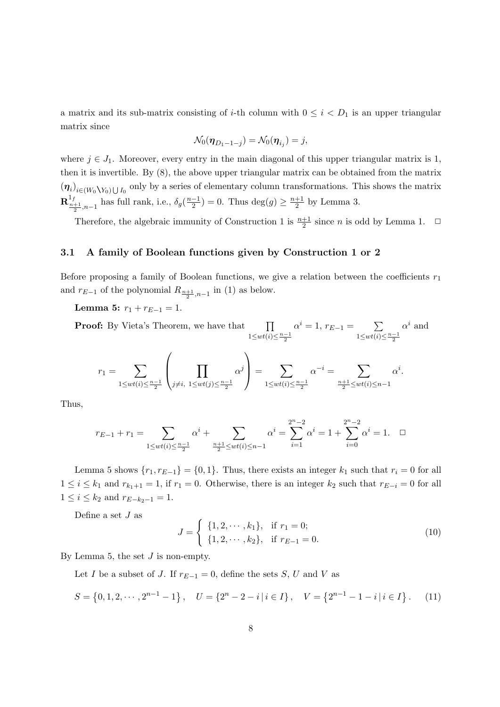a matrix and its sub-matrix consisting of *i*-th column with  $0 \leq i \leq D_1$  is an upper triangular matrix since

$$
\mathcal{N}_0(\boldsymbol{\eta}_{D_1-1-j})=\mathcal{N}_0(\boldsymbol{\eta}_{i_j})=j,
$$

where  $j \in J_1$ . Moreover, every entry in the main diagonal of this upper triangular matrix is 1, then it is invertible. By (8), the above upper triangular matrix can be obtained from the matrix  $(\eta_i)_{i\in(W_0\setminus Y_0)\bigcup I_0}$  only by a series of elementary column transformations. This shows the matrix  $\mathbf{R}_{\frac{n+1}{2},n-1}^{1f}$  has full rank, i.e.,  $\delta_g(\frac{n-1}{2}) = 0$ . Thus  $\deg(g) \ge \frac{n+1}{2}$  $\frac{+1}{2}$  by Lemma 3.

Therefore, the algebraic immunity of Construction 1 is  $\frac{n+1}{2}$  since *n* is odd by Lemma 1.  $\Box$ 

#### **3.1 A family of Boolean functions given by Construction 1 or 2**

Before proposing a family of Boolean functions, we give a relation between the coefficients *r*<sup>1</sup> and  $r_{E-1}$  of the polynomial  $R_{\frac{n+1}{2},n-1}$  in (1) as below.

**Lemma 5:**  $r_1 + r_{E-1} = 1$ .

**Proof:** By Vieta's Theorem, we have that ∏ 1*≤wt*(*i*)*≤ n−*1 2  $\alpha^i = 1, r_{E-1} = \sum$ 1*≤wt*(*i*)*≤ n−*1 2  $\alpha^i$  and

$$
r_1 = \sum_{1 \le wt(i) \le \frac{n-1}{2}} \left( \prod_{j \ne i, 1 \le wt(j) \le \frac{n-1}{2}} \alpha^j \right) = \sum_{1 \le wt(i) \le \frac{n-1}{2}} \alpha^{-i} = \sum_{\frac{n+1}{2} \le wt(i) \le n-1} \alpha^i.
$$

Thus,

$$
r_{E-1} + r_1 = \sum_{1 \le wt(i) \le \frac{n-1}{2}} \alpha^i + \sum_{\frac{n+1}{2} \le wt(i) \le n-1} \alpha^i = \sum_{i=1}^{2^n - 2} \alpha^i = 1 + \sum_{i=0}^{2^n - 2} \alpha^i = 1. \quad \Box
$$

Lemma 5 shows  $\{r_1, r_{E-1}\} = \{0, 1\}$ . Thus, there exists an integer  $k_1$  such that  $r_i = 0$  for all 1 ≤ *i* ≤ *k*<sub>1</sub> and  $r_{k_1+1} = 1$ , if  $r_1 = 0$ . Otherwise, there is an integer  $k_2$  such that  $r_{E-i} = 0$  for all  $1 \leq i \leq k_2$  and  $r_{E-k_2-1} = 1$ .

Define a set  $J$  as

$$
J = \begin{cases} \{1, 2, \cdots, k_1\}, & \text{if } r_1 = 0; \\ \{1, 2, \cdots, k_2\}, & \text{if } r_{E-1} = 0. \end{cases}
$$
 (10)

By Lemma 5, the set *J* is non-empty.

Let *I* be a subset of *J*. If  $r_{E-1} = 0$ , define the sets *S*, *U* and *V* as

$$
S = \{0, 1, 2, \cdots, 2^{n-1} - 1\}, \quad U = \{2^n - 2 - i \mid i \in I\}, \quad V = \{2^{n-1} - 1 - i \mid i \in I\}.
$$
 (11)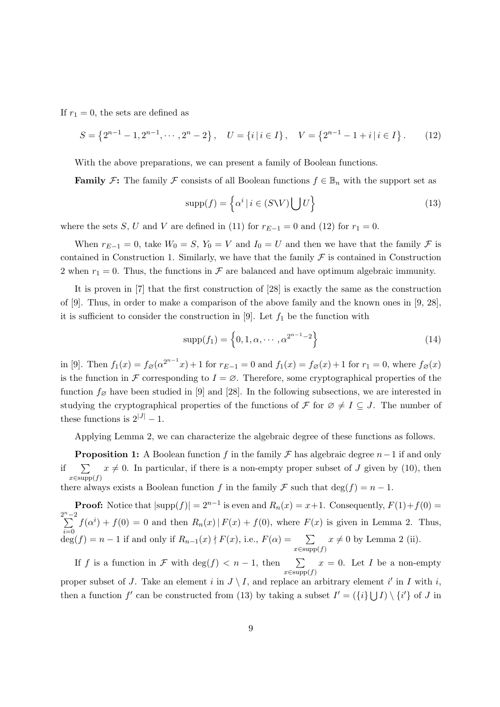If  $r_1 = 0$ , the sets are defined as

$$
S = \{2^{n-1} - 1, 2^{n-1}, \cdots, 2^n - 2\}, \quad U = \{i \mid i \in I\}, \quad V = \{2^{n-1} - 1 + i \mid i \in I\}.
$$
 (12)

With the above preparations, we can present a family of Boolean functions.

**Family** *F*: The family *F* consists of all Boolean functions  $f \in \mathbb{B}_n$  with the support set as

$$
supp(f) = \left\{ \alpha^i \mid i \in (S \setminus V) \bigcup U \right\} \tag{13}
$$

where the sets *S*, *U* and *V* are defined in (11) for  $r_{E-1} = 0$  and (12) for  $r_1 = 0$ .

When  $r_{E-1} = 0$ , take  $W_0 = S$ ,  $Y_0 = V$  and  $I_0 = U$  and then we have that the family  $\mathcal F$  is contained in Construction 1. Similarly, we have that the family  $\mathcal F$  is contained in Construction 2 when  $r_1 = 0$ . Thus, the functions in  $\mathcal F$  are balanced and have optimum algebraic immunity.

It is proven in [7] that the first construction of [28] is exactly the same as the construction of [9]. Thus, in order to make a comparison of the above family and the known ones in [9, 28], it is sufficient to consider the construction in  $[9]$ . Let  $f_1$  be the function with

$$
supp(f_1) = \left\{0, 1, \alpha, \cdots, \alpha^{2^{n-1}-2}\right\}
$$
 (14)

in [9]. Then  $f_1(x) = f_{\emptyset}(a^{2^{n-1}}x) + 1$  for  $r_{E-1} = 0$  and  $f_1(x) = f_{\emptyset}(x) + 1$  for  $r_1 = 0$ , where  $f_{\emptyset}(x)$ is the function in  $\mathcal F$  corresponding to  $I = \emptyset$ . Therefore, some cryptographical properties of the function  $f_{\varnothing}$  have been studied in [9] and [28]. In the following subsections, we are interested in studying the cryptographical properties of the functions of  $\mathcal F$  for  $\emptyset \neq I \subseteq J$ . The number of these functions is  $2^{|J|} - 1$ .

Applying Lemma 2, we can characterize the algebraic degree of these functions as follows.

**Proposition 1:** A Boolean function *f* in the family  $\mathcal F$  has algebraic degree  $n-1$  if and only if ∑ *x∈*supp(*f*)  $x \neq 0$ . In particular, if there is a non-empty proper subset of *J* given by (10), then there always exists a Boolean function *f* in the family *F* such that  $deg(f) = n - 1$ .

**Proof:** Notice that  $|\text{supp}(f)| = 2^{n-1}$  is even and  $R_n(x) = x+1$ . Consequently,  $F(1) + f(0) =$ 2 *n*∑*−*2 *i*=0  $f(\alpha^i) + f(0) = 0$  and then  $R_n(x) | F(x) + f(0)$ , where  $F(x)$  is given in Lemma 2. Thus,  $deg(f) = n - 1$  if and only if  $R_{n-1}(x) \nmid F(x)$ , i.e.,  $F(\alpha) = \sum_{n=1}^{\infty}$ *x∈*supp(*f*)  $x \neq 0$  by Lemma 2 (ii).

If *f* is a function in *F* with  $deg(f) < n-1$ , then  $\sum$ *x∈*supp(*f*)  $x = 0$ . Let *I* be a non-empty proper subset of *J*. Take an element *i* in  $J \setminus I$ , and replace an arbitrary element *i'* in *I* with *i*, then a function  $f'$  can be constructed from (13) by taking a subset  $I' = (\{i\} \cup I) \setminus \{i'\}$  of *J* in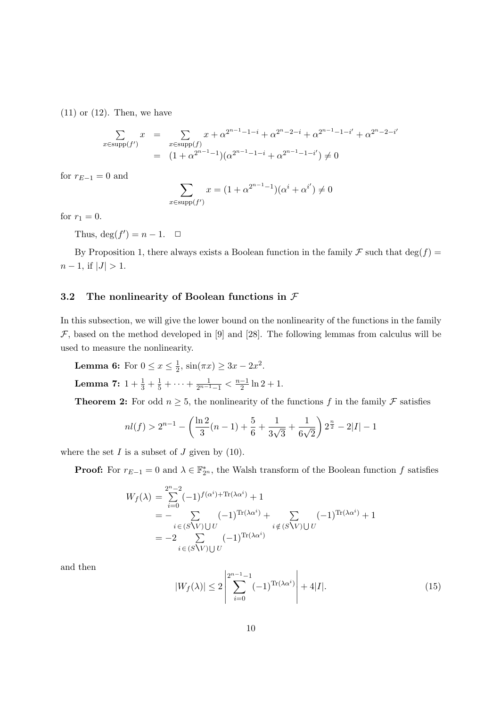$(11)$  or  $(12)$ . Then, we have

$$
\sum_{x \in \text{supp}(f')} x = \sum_{x \in \text{supp}(f)} x + \alpha^{2^{n-1}-1-i} + \alpha^{2^{n-2}-i} + \alpha^{2^{n-1}-1-i'} + \alpha^{2^{n-2}-i'}
$$
\n
$$
= (1 + \alpha^{2^{n-1}-1})(\alpha^{2^{n-1}-1-i} + \alpha^{2^{n-1}-1-i'}) \neq 0
$$

for  $r_{E-1} = 0$  and

$$
\sum_{x \in \text{supp}(f')} x = (1 + \alpha^{2^{n-1}-1})(\alpha^i + \alpha^{i'}) \neq 0
$$

for  $r_1 = 0$ .

Thus,  $\deg(f') = n - 1$ .  $\Box$ 

By Proposition 1, there always exists a Boolean function in the family  $\mathcal F$  such that deg( $f$ ) = *n* − 1, if  $|J| > 1$ .

#### **3.2 The nonlinearity of Boolean functions in** *F*

In this subsection, we will give the lower bound on the nonlinearity of the functions in the family  $F$ , based on the method developed in  $[9]$  and  $[28]$ . The following lemmas from calculus will be used to measure the nonlinearity.

**Lemma 6:** For  $0 \leq x \leq \frac{1}{2}$  $\frac{1}{2}$ ,  $\sin(\pi x) \ge 3x - 2x^2$ .

**Lemma 7:**  $1 + \frac{1}{3} + \frac{1}{5} + \cdots + \frac{1}{2^{n-1}-1} < \frac{n-1}{2} \ln 2 + 1.$ 

**Theorem 2:** For odd  $n \geq 5$ , the nonlinearity of the functions *f* in the family *F* satisfies

$$
nl(f) > 2^{n-1} - \left(\frac{\ln 2}{3}(n-1) + \frac{5}{6} + \frac{1}{3\sqrt{3}} + \frac{1}{6\sqrt{2}}\right) 2^{\frac{n}{2}} - 2|I| - 1
$$

where the set  $I$  is a subset of  $J$  given by (10).

**Proof:** For  $r_{E-1} = 0$  and  $\lambda \in \mathbb{F}_{2^n}^*$ , the Walsh transform of the Boolean function *f* satisfies

$$
W_f(\lambda) = \sum_{i=0}^{2^n - 2} (-1)^{f(\alpha^i) + \text{Tr}(\lambda \alpha^i)} + 1
$$
  
= 
$$
- \sum_{i \in (S \setminus V) \cup U} (-1)^{\text{Tr}(\lambda \alpha^i)} + \sum_{i \notin (S \setminus V) \cup U} (-1)^{\text{Tr}(\lambda \alpha^i)} + 1
$$
  
= 
$$
-2 \sum_{i \in (S \setminus V) \cup U} (-1)^{\text{Tr}(\lambda \alpha^i)}
$$

and then

$$
|W_f(\lambda)| \le 2 \left| \sum_{i=0}^{2^{n-1}-1} (-1)^{\text{Tr}(\lambda \alpha^i)} \right| + 4|I|. \tag{15}
$$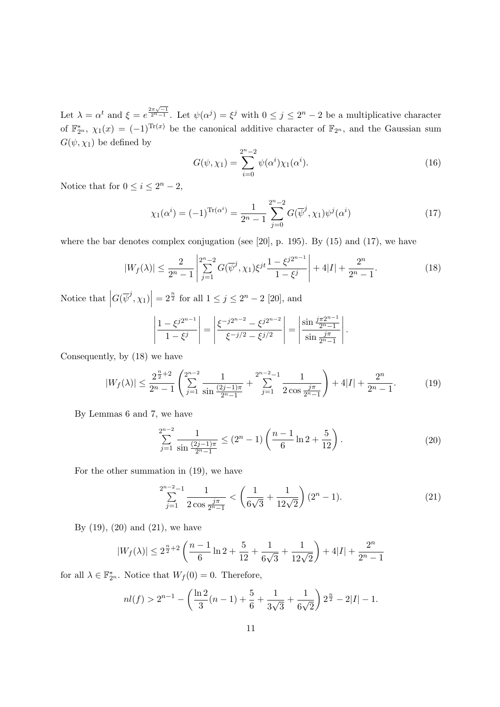Let  $\lambda = \alpha^t$  and  $\xi = e^{\frac{2\pi\sqrt{-1}}{2^n-1}}$ . Let  $\psi(\alpha^j) = \xi^j$  with  $0 \leq j \leq 2^n - 2$  be a multiplicative character of  $\mathbb{F}_{2^n}^*, \chi_1(x) = (-1)^{\text{Tr}(x)}$  be the canonical additive character of  $\mathbb{F}_{2^n}$ , and the Gaussian sum  $G(\psi, \chi_1)$  be defined by

$$
G(\psi, \chi_1) = \sum_{i=0}^{2^n - 2} \psi(\alpha^i) \chi_1(\alpha^i).
$$
 (16)

Notice that for  $0 \leq i \leq 2^n - 2$ ,

$$
\chi_1(\alpha^i) = (-1)^{\text{Tr}(\alpha^i)} = \frac{1}{2^n - 1} \sum_{j=0}^{2^n - 2} G(\overline{\psi}^j, \chi_1) \psi^j(\alpha^i)
$$
(17)

where the bar denotes complex conjugation (see  $[20]$ , p. 195). By  $(15)$  and  $(17)$ , we have

$$
|W_f(\lambda)| \le \frac{2}{2^n - 1} \left| \sum_{j=1}^{2^n - 2} G(\overline{\psi}^j, \chi_1) \xi^{jt} \frac{1 - \xi^{j2^{n-1}}}{1 - \xi^j} \right| + 4|I| + \frac{2^n}{2^n - 1}.
$$
 (18)

Notice that  $\Big|$  $G(\overline{\psi}^j, \chi_1)$  $= 2^{\frac{n}{2}}$  for all  $1 \leq j \leq 2^n - 2$  [20], and

$$
\left|\frac{1-\xi^{j2^{n-1}}}{1-\xi^{j}}\right| = \left|\frac{\xi^{-j2^{n-2}}-\xi^{j2^{n-2}}}{\xi^{-j/2}-\xi^{j/2}}\right| = \left|\frac{\sin\frac{j\pi 2^{n-1}}{2^n-1}}{\sin\frac{j\pi}{2^n-1}}\right|.
$$

Consequently, by (18) we have

$$
|W_f(\lambda)| \le \frac{2^{\frac{n}{2}+2}}{2^n-1} \left( \sum_{j=1}^{2^{n-2}} \frac{1}{\sin \frac{(2j-1)\pi}{2^n-1}} + \sum_{j=1}^{2^{n-2}-1} \frac{1}{2 \cos \frac{j\pi}{2^n-1}} \right) + 4|I| + \frac{2^n}{2^n-1}.
$$
 (19)

By Lemmas 6 and 7, we have

$$
\sum_{j=1}^{2^{n-2}} \frac{1}{\sin \frac{(2j-1)\pi}{2^{n-1}}} \le (2^n - 1) \left( \frac{n-1}{6} \ln 2 + \frac{5}{12} \right). \tag{20}
$$

For the other summation in (19), we have

$$
\sum_{j=1}^{2^{n-2}-1} \frac{1}{2\cos\frac{j\pi}{2^{n-1}}} < \left(\frac{1}{6\sqrt{3}} + \frac{1}{12\sqrt{2}}\right)(2^n - 1). \tag{21}
$$

By  $(19)$ ,  $(20)$  and  $(21)$ , we have

$$
|W_f(\lambda)| \le 2^{\frac{n}{2}+2} \left( \frac{n-1}{6} \ln 2 + \frac{5}{12} + \frac{1}{6\sqrt{3}} + \frac{1}{12\sqrt{2}} \right) + 4|I| + \frac{2^n}{2^n - 1}
$$

for all  $\lambda \in \mathbb{F}_{2^n}^*$ . Notice that  $W_f(0) = 0$ . Therefore,

$$
nl(f) > 2^{n-1} - \left(\frac{\ln 2}{3}(n-1) + \frac{5}{6} + \frac{1}{3\sqrt{3}} + \frac{1}{6\sqrt{2}}\right) 2^{\frac{n}{2}} - 2|I| - 1.
$$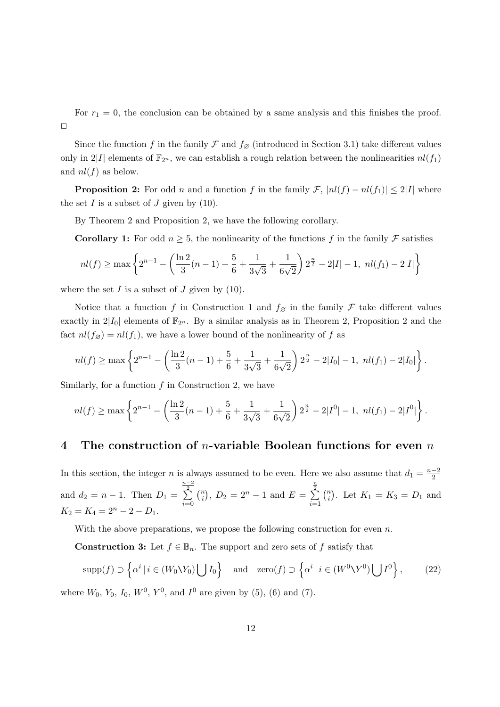For  $r_1 = 0$ , the conclusion can be obtained by a same analysis and this finishes the proof.  $\Box$ 

Since the function *f* in the family  $\mathcal F$  and  $f_{\varnothing}$  (introduced in Section 3.1) take different values only in 2|*I*| elements of  $\mathbb{F}_{2^n}$ , we can establish a rough relation between the nonlinearities  $nl(f_1)$ and  $nl(f)$  as below.

**Proposition 2:** For odd *n* and a function *f* in the family  $\mathcal{F}$ ,  $|nl(f) - nl(f_1)| \leq 2|I|$  where the set  $I$  is a subset of  $J$  given by  $(10)$ .

By Theorem 2 and Proposition 2, we have the following corollary.

**Corollary 1:** For odd  $n \geq 5$ , the nonlinearity of the functions f in the family F satisfies

$$
nl(f) \ge \max\left\{2^{n-1} - \left(\frac{\ln 2}{3}(n-1) + \frac{5}{6} + \frac{1}{3\sqrt{3}} + \frac{1}{6\sqrt{2}}\right)2^{\frac{n}{2}} - 2|I| - 1, \ n l(f_1) - 2|I|\right\}
$$

where the set  $I$  is a subset of  $J$  given by (10).

Notice that a function *f* in Construction 1 and  $f_{\varnothing}$  in the family  $\mathcal F$  take different values exactly in  $2|I_0|$  elements of  $\mathbb{F}_{2^n}$ . By a similar analysis as in Theorem 2, Proposition 2 and the fact  $nl(f_{\emptyset}) = nl(f_1)$ , we have a lower bound of the nonlinearity of f as

$$
nl(f) \ge \max\left\{2^{n-1} - \left(\frac{\ln 2}{3}(n-1) + \frac{5}{6} + \frac{1}{3\sqrt{3}} + \frac{1}{6\sqrt{2}}\right)2^{\frac{n}{2}} - 2|I_0| - 1, \ nl(f_1) - 2|I_0|\right\}.
$$

Similarly, for a function *f* in Construction 2, we have

$$
nl(f) \ge \max\left\{2^{n-1} - \left(\frac{\ln 2}{3}(n-1) + \frac{5}{6} + \frac{1}{3\sqrt{3}} + \frac{1}{6\sqrt{2}}\right)2^{\frac{n}{2}} - 2|I^0| - 1, \ nl(f_1) - 2|I^0|\right\}
$$

*.*

### **4 The construction of** *n***-variable Boolean functions for even** *n*

In this section, the integer *n* is always assumed to be even. Here we also assume that  $d_1 = \frac{n-2}{2}$ and  $d_2 = n - 1$ . Then  $D_1 =$  $\frac{n-2}{2}$ *i*=0 ( *n*  $\binom{n}{i}$ ,  $D_2 = 2^n - 1$  and  $E =$ *n*∑2 *i*=1 ( *n*  $\binom{n}{i}$ . Let  $K_1 = K_3 = D_1$  and  $K_2 = K_4 = 2^n - 2 - D_1.$ 

With the above preparations, we propose the following construction for even *n*.

**Construction 3:** Let  $f \in \mathbb{B}_n$ . The support and zero sets of *f* satisfy that

$$
\operatorname{supp}(f) \supset \left\{ \alpha^i \mid i \in (W_0 \setminus Y_0) \bigcup I_0 \right\} \quad \text{and} \quad \operatorname{zero}(f) \supset \left\{ \alpha^i \mid i \in (W^0 \setminus Y^0) \bigcup I^0 \right\},\tag{22}
$$

where  $W_0$ ,  $Y_0$ ,  $I_0$ ,  $W^0$ ,  $Y^0$ , and  $I^0$  are given by (5), (6) and (7).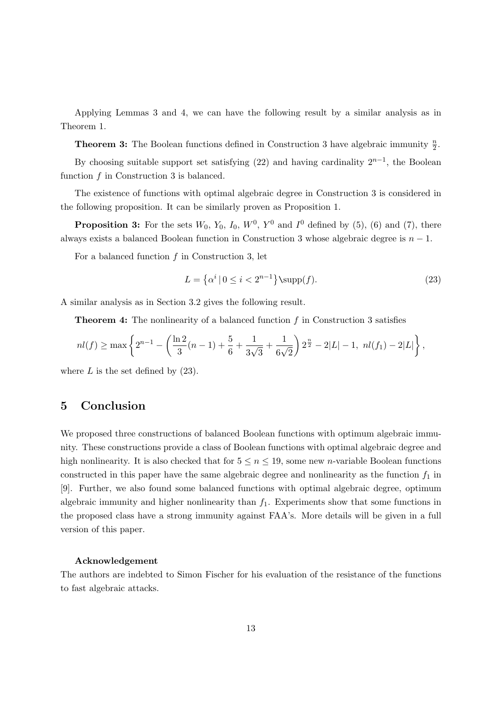Applying Lemmas 3 and 4, we can have the following result by a similar analysis as in Theorem 1.

**Theorem 3:** The Boolean functions defined in Construction 3 have algebraic immunity  $\frac{n}{2}$ .

By choosing suitable support set satisfying  $(22)$  and having cardinality  $2^{n-1}$ , the Boolean function *f* in Construction 3 is balanced.

The existence of functions with optimal algebraic degree in Construction 3 is considered in the following proposition. It can be similarly proven as Proposition 1.

**Proposition 3:** For the sets  $W_0$ ,  $Y_0$ ,  $I_0$ ,  $W^0$ ,  $Y^0$  and  $I^0$  defined by (5), (6) and (7), there always exists a balanced Boolean function in Construction 3 whose algebraic degree is *n −* 1.

For a balanced function *f* in Construction 3, let

$$
L = \left\{ \alpha^i \mid 0 \le i < 2^{n-1} \right\} \sup(p(f)).\tag{23}
$$

A similar analysis as in Section 3.2 gives the following result.

**Theorem 4:** The nonlinearity of a balanced function *f* in Construction 3 satisfies

$$
nl(f) \ge \max\left\{2^{n-1} - \left(\frac{\ln 2}{3}(n-1) + \frac{5}{6} + \frac{1}{3\sqrt{3}} + \frac{1}{6\sqrt{2}}\right)2^{\frac{n}{2}} - 2|L| - 1, \ n l(f_1) - 2|L|\right\},\
$$

where  $L$  is the set defined by  $(23)$ .

# **5 Conclusion**

We proposed three constructions of balanced Boolean functions with optimum algebraic immunity. These constructions provide a class of Boolean functions with optimal algebraic degree and high nonlinearity. It is also checked that for  $5 \leq n \leq 19$ , some new *n*-variable Boolean functions constructed in this paper have the same algebraic degree and nonlinearity as the function  $f_1$  in [9]. Further, we also found some balanced functions with optimal algebraic degree, optimum algebraic immunity and higher nonlinearity than *f*1. Experiments show that some functions in the proposed class have a strong immunity against FAA's. More details will be given in a full version of this paper.

#### **Acknowledgement**

The authors are indebted to Simon Fischer for his evaluation of the resistance of the functions to fast algebraic attacks.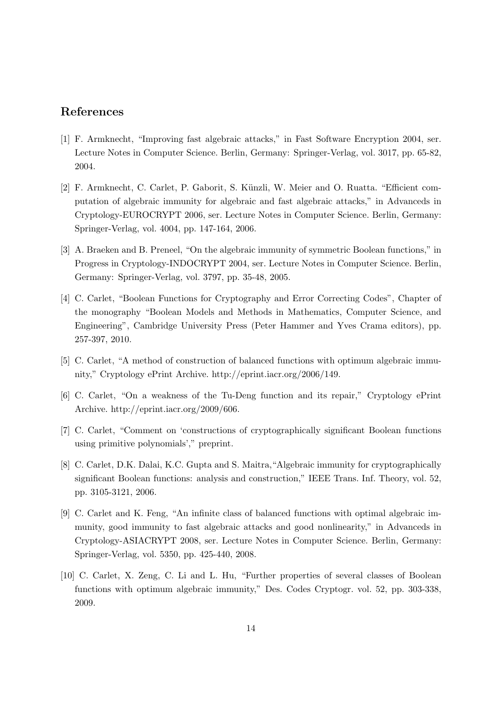# **References**

- [1] F. Armknecht, "Improving fast algebraic attacks," in Fast Software Encryption 2004, ser. Lecture Notes in Computer Science. Berlin, Germany: Springer-Verlag, vol. 3017, pp. 65-82, 2004.
- [2] F. Armknecht, C. Carlet, P. Gaborit, S. Künzli, W. Meier and O. Ruatta. "Efficient computation of algebraic immunity for algebraic and fast algebraic attacks," in Advanceds in Cryptology-EUROCRYPT 2006, ser. Lecture Notes in Computer Science. Berlin, Germany: Springer-Verlag, vol. 4004, pp. 147-164, 2006.
- [3] A. Braeken and B. Preneel, "On the algebraic immunity of symmetric Boolean functions," in Progress in Cryptology-INDOCRYPT 2004, ser. Lecture Notes in Computer Science. Berlin, Germany: Springer-Verlag, vol. 3797, pp. 35-48, 2005.
- [4] C. Carlet, "Boolean Functions for Cryptography and Error Correcting Codes", Chapter of the monography "Boolean Models and Methods in Mathematics, Computer Science, and Engineering", Cambridge University Press (Peter Hammer and Yves Crama editors), pp. 257-397, 2010.
- [5] C. Carlet, "A method of construction of balanced functions with optimum algebraic immunity," Cryptology ePrint Archive. http://eprint.iacr.org/2006/149.
- [6] C. Carlet, "On a weakness of the Tu-Deng function and its repair," Cryptology ePrint Archive. http://eprint.iacr.org/2009/606.
- [7] C. Carlet, "Comment on 'constructions of cryptographically significant Boolean functions using primitive polynomials'," preprint.
- [8] C. Carlet, D.K. Dalai, K.C. Gupta and S. Maitra,"Algebraic immunity for cryptographically significant Boolean functions: analysis and construction," IEEE Trans. Inf. Theory, vol. 52, pp. 3105-3121, 2006.
- [9] C. Carlet and K. Feng, "An infinite class of balanced functions with optimal algebraic immunity, good immunity to fast algebraic attacks and good nonlinearity," in Advanceds in Cryptology-ASIACRYPT 2008, ser. Lecture Notes in Computer Science. Berlin, Germany: Springer-Verlag, vol. 5350, pp. 425-440, 2008.
- [10] C. Carlet, X. Zeng, C. Li and L. Hu, "Further properties of several classes of Boolean functions with optimum algebraic immunity," Des. Codes Cryptogr. vol. 52, pp. 303-338, 2009.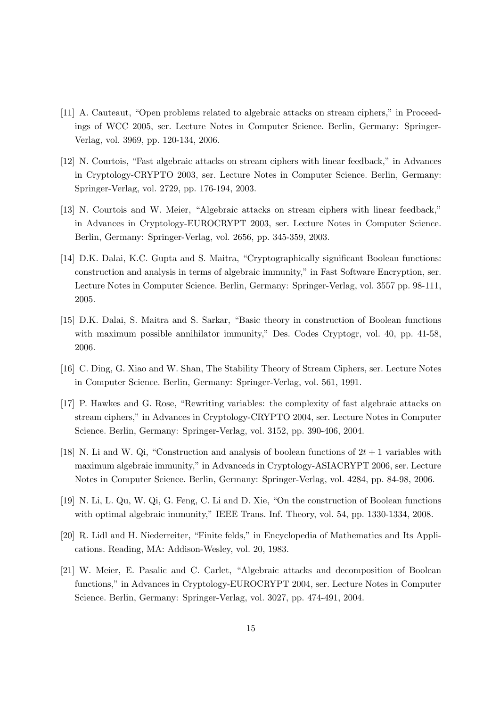- [11] A. Cauteaut, "Open problems related to algebraic attacks on stream ciphers," in Proceedings of WCC 2005, ser. Lecture Notes in Computer Science. Berlin, Germany: Springer-Verlag, vol. 3969, pp. 120-134, 2006.
- [12] N. Courtois, "Fast algebraic attacks on stream ciphers with linear feedback," in Advances in Cryptology-CRYPTO 2003, ser. Lecture Notes in Computer Science. Berlin, Germany: Springer-Verlag, vol. 2729, pp. 176-194, 2003.
- [13] N. Courtois and W. Meier, "Algebraic attacks on stream ciphers with linear feedback," in Advances in Cryptology-EUROCRYPT 2003, ser. Lecture Notes in Computer Science. Berlin, Germany: Springer-Verlag, vol. 2656, pp. 345-359, 2003.
- [14] D.K. Dalai, K.C. Gupta and S. Maitra, "Cryptographically significant Boolean functions: construction and analysis in terms of algebraic immunity," in Fast Software Encryption, ser. Lecture Notes in Computer Science. Berlin, Germany: Springer-Verlag, vol. 3557 pp. 98-111, 2005.
- [15] D.K. Dalai, S. Maitra and S. Sarkar, "Basic theory in construction of Boolean functions with maximum possible annihilator immunity," Des. Codes Cryptogr, vol. 40, pp. 41-58, 2006.
- [16] C. Ding, G. Xiao and W. Shan, The Stability Theory of Stream Ciphers, ser. Lecture Notes in Computer Science. Berlin, Germany: Springer-Verlag, vol. 561, 1991.
- [17] P. Hawkes and G. Rose, "Rewriting variables: the complexity of fast algebraic attacks on stream ciphers," in Advances in Cryptology-CRYPTO 2004, ser. Lecture Notes in Computer Science. Berlin, Germany: Springer-Verlag, vol. 3152, pp. 390-406, 2004.
- [18] N. Li and W. Qi, "Construction and analysis of boolean functions of  $2t + 1$  variables with maximum algebraic immunity," in Advanceds in Cryptology-ASIACRYPT 2006, ser. Lecture Notes in Computer Science. Berlin, Germany: Springer-Verlag, vol. 4284, pp. 84-98, 2006.
- [19] N. Li, L. Qu, W. Qi, G. Feng, C. Li and D. Xie, "On the construction of Boolean functions with optimal algebraic immunity," IEEE Trans. Inf. Theory, vol. 54, pp. 1330-1334, 2008.
- [20] R. Lidl and H. Niederreiter, "Finite felds," in Encyclopedia of Mathematics and Its Applications. Reading, MA: Addison-Wesley, vol. 20, 1983.
- [21] W. Meier, E. Pasalic and C. Carlet, "Algebraic attacks and decomposition of Boolean functions," in Advances in Cryptology-EUROCRYPT 2004, ser. Lecture Notes in Computer Science. Berlin, Germany: Springer-Verlag, vol. 3027, pp. 474-491, 2004.